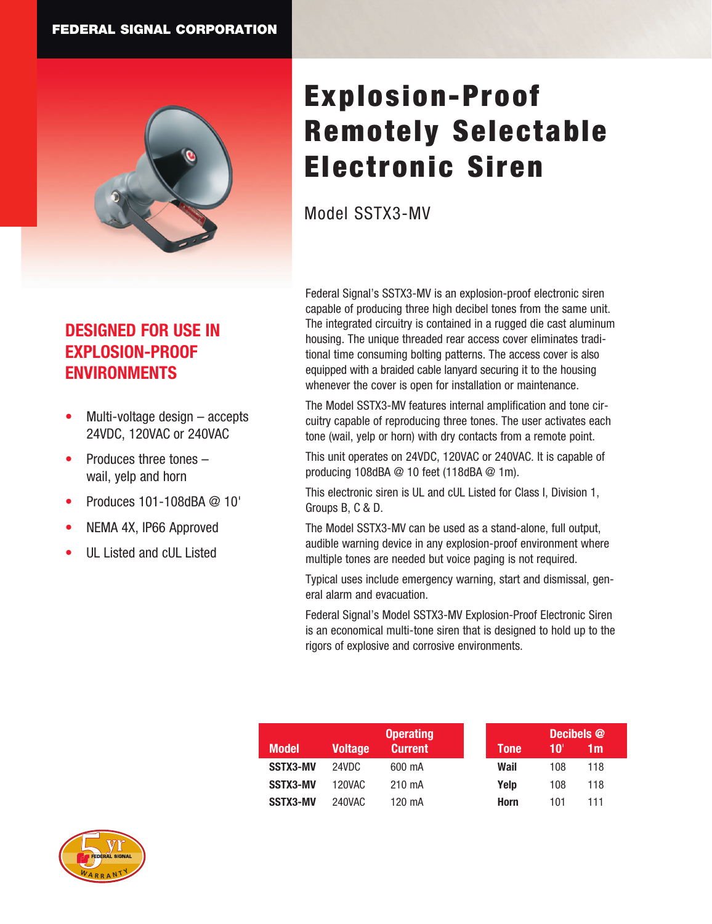

## **DESIGNED FOR USE IN EXPLOSION-PROOF ENVIRONMENTS**

- Multi-voltage design  $-$  accepts 24VDC, 120VAC or 240VAC
- Produces three tones  $$ wail, yelp and horn
- Produces 101-108dBA @ 10'
- NEMA 4X, IP66 Approved
- UL Listed and cUL Listed

# Explosion-Proof Remotely Selectable Electronic Siren

Model SSTX3-MV

Federal Signal's SSTX3-MV is an explosion-proof electronic siren capable of producing three high decibel tones from the same unit. The integrated circuitry is contained in a rugged die cast aluminum housing. The unique threaded rear access cover eliminates traditional time consuming bolting patterns. The access cover is also equipped with a braided cable lanyard securing it to the housing whenever the cover is open for installation or maintenance.

The Model SSTX3-MV features internal amplification and tone circuitry capable of reproducing three tones. The user activates each tone (wail, yelp or horn) with dry contacts from a remote point.

This unit operates on 24VDC, 120VAC or 240VAC. It is capable of producing 108dBA @ 10 feet (118dBA @ 1m).

This electronic siren is UL and cUL Listed for Class I, Division 1, Groups B, C & D.

The Model SSTX3-MV can be used as a stand-alone, full output, audible warning device in any explosion-proof environment where multiple tones are needed but voice paging is not required.

Typical uses include emergency warning, start and dismissal, general alarm and evacuation.

Federal Signal's Model SSTX3-MV Explosion-Proof Electronic Siren is an economical multi-tone siren that is designed to hold up to the rigors of explosive and corrosive environments.

|                 | <b>Operating</b> |                |             | Decibels @ |     |  |
|-----------------|------------------|----------------|-------------|------------|-----|--|
| <b>Model</b>    | <b>Voltage</b>   | <b>Current</b> | <b>Tone</b> | 10'        | 1m  |  |
| SSTX3-MV        | 24VDC            | 600 mA         | Wail        | 108        | 118 |  |
| <b>SSTX3-MV</b> | 120VAC.          | 210 mA         | Yelp        | 108        | 118 |  |
| SSTX3-MV        | 240VAC           | 120 mA         | Horn        | 101        | 111 |  |